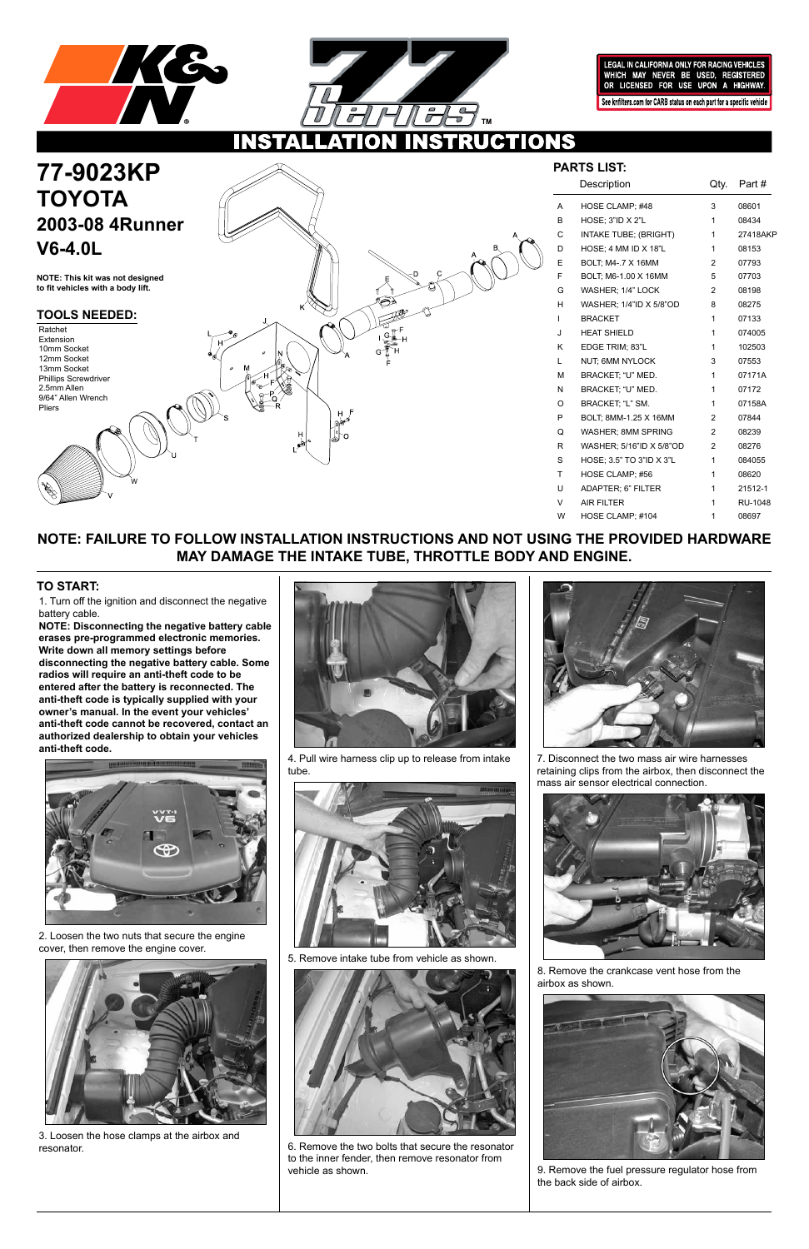



LEGAL IN CALIFORNIA ONLY FOR RACING VEHICLES WHICH MAY NEVER BE USED, REGISTERED<br>OR LICENSED FOR USE UPON A HIGHWAY.

See knfilters.com for CARB status on each part for a specific vehicle

W

## **NOTE: FAILURE TO FOLLOW INSTALLATION INSTRUCTIONS AND NOT USING THE PROVIDED HARDWARE MAY DAMAGE THE INTAKE TUBE, THROTTLE BODY AND ENGINE.**

1. Turn off the ignition and disconnect the negative battery cable.

# **77-9023KP TOYOTA 2003-08 4Runner V6-4.0L**

**NOTE: Disconnecting the negative battery cable erases pre-programmed electronic memories. Write down all memory settings before disconnecting the negative battery cable. Some radios will require an anti-theft code to be entered after the battery is reconnected. The anti-theft code is typically supplied with your owner's manual. In the event your vehicles' anti-theft code cannot be recovered, contact an authorized dealership to obtain your vehicles anti-theft code.**



### **TO START:**

**NOTE: This kit was not designed** 

**to fit vehicles with a body lift.**

| PARTS LIST: |                           |                |                |
|-------------|---------------------------|----------------|----------------|
|             | Description               | Qty.           | Part #         |
| A           | HOSE CLAMP; #48           | 3              | 08601          |
| B           | <b>HOSE: 3"ID X 2"L</b>   | 1              | 08434          |
| C           | INTAKE TUBE; (BRIGHT)     | 1              | 27418AKP       |
| D           | HOSE; 4 MM ID X 18"L      | 1              | 08153          |
| E           | BOLT, M4-.7 X 16MM        | $\overline{2}$ | 07793          |
| F           | BOLT; M6-1.00 X 16MM      | 5              | 07703          |
| G           | WASHER; 1/4" LOCK         | $\overline{2}$ | 08198          |
| н           | WASHER; 1/4"ID X 5/8"OD   | 8              | 08275          |
| I           | <b>BRACKET</b>            | 1              | 07133          |
| J           | <b>HEAT SHIELD</b>        | 1              | 074005         |
| Κ           | EDGE TRIM; 83"L           | 1              | 102503         |
| L           | NUT; 6MM NYLOCK           | 3              | 07553          |
| M           | BRACKET, "U" MED.         | 1              | 07171A         |
| N           | BRACKET, "U" MED.         | 1              | 07172          |
| O           | BRACKET, "L" SM.          | 1              | 07158A         |
| P           | BOLT, 8MM-1.25 X 16MM     | 2              | 07844          |
| Q           | <b>WASHER: 8MM SPRING</b> | $\overline{2}$ | 08239          |
| R           | WASHER; 5/16"ID X 5/8"OD  | 2              | 08276          |
| S           | HOSE; 3.5" TO 3"ID X 3"L  | 1              | 084055         |
| T           | HOSE CLAMP; #56           | 1              | 08620          |
| U           | ADAPTER; 6" FILTER        | 1              | 21512-1        |
| V           | <b>AIR FILTER</b>         | 1              | <b>RU-1048</b> |
| W           | HOSE CLAMP: #104          | 1              | 08697          |

### **TOOLS NEEDED:**

Ratchet Extension 10mm Socket 12mm Socket 13mm Socket Phillips Screwdriver 2.5mm Allen 9/64" Allen Wrench Pliers

2. Loosen the two nuts that secure the engine cover, then remove the engine cover.



3. Loosen the hose clamps at the airbox and resonator.



4. Pull wire harness clip up to release from intake tube.



5. Remove intake tube from vehicle as shown.



6. Remove the two bolts that secure the resonator to the inner fender, then remove resonator from vehicle as shown.



7. Disconnect the two mass air wire harnesses retaining clips from the airbox, then disconnect the mass air sensor electrical connection.



8. Remove the crankcase vent hose from the airbox as shown.



9. Remove the fuel pressure regulator hose from the back side of airbox.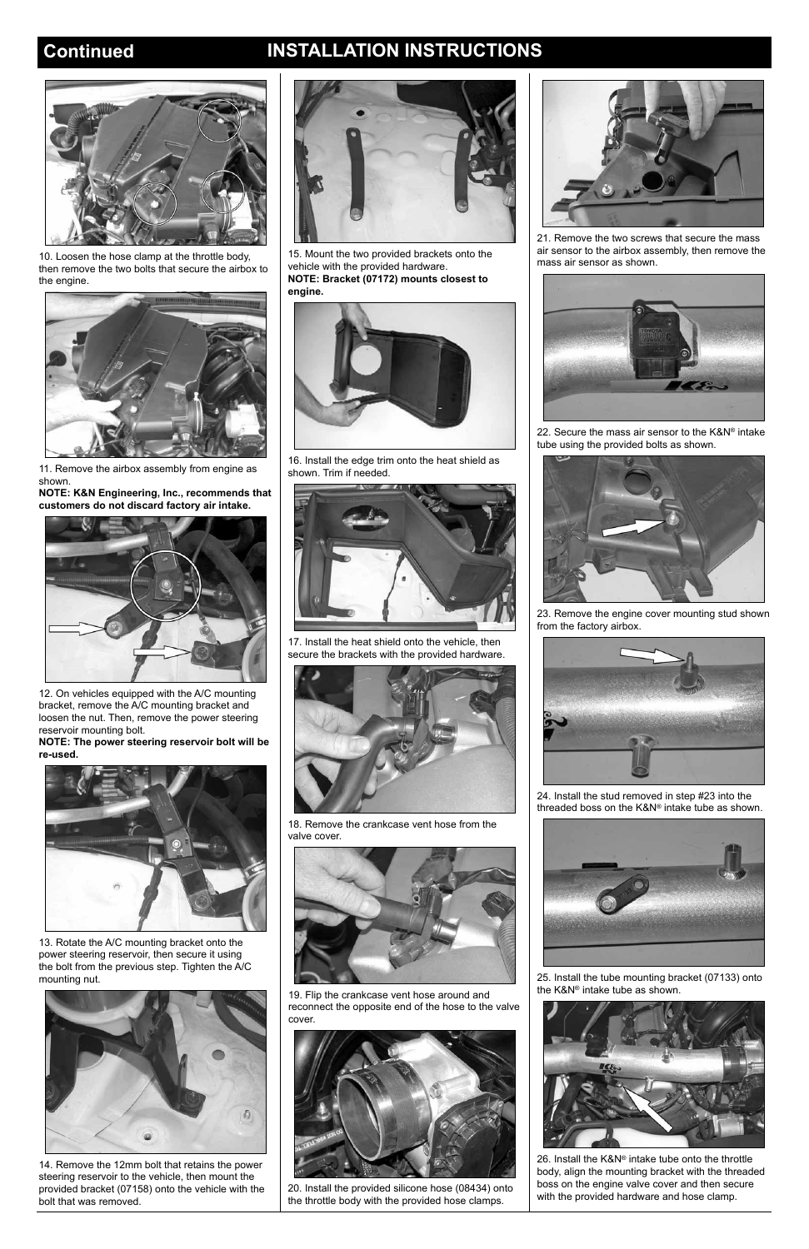## **Continued INSTALLATION INSTRUCTIONS**



10. Loosen the hose clamp at the throttle body, then remove the two bolts that secure the airbox to the engine.



11. Remove the airbox assembly from engine as shown.

**NOTE: K&N Engineering, Inc., recommends that customers do not discard factory air intake.**



12. On vehicles equipped with the A/C mounting bracket, remove the A/C mounting bracket and loosen the nut. Then, remove the power steering reservoir mounting bolt.

**NOTE: The power steering reservoir bolt will be re-used.**





13. Rotate the A/C mounting bracket onto the power steering reservoir, then secure it using the bolt from the previous step. Tighten the A/C mounting nut.



14. Remove the 12mm bolt that retains the power steering reservoir to the vehicle, then mount the provided bracket (07158) onto the vehicle with the bolt that was removed.

15. Mount the two provided brackets onto the vehicle with the provided hardware. **NOTE: Bracket (07172) mounts closest to engine.**



16. Install the edge trim onto the heat shield as shown. Trim if needed.



17. Install the heat shield onto the vehicle, then secure the brackets with the provided hardware.



18. Remove the crankcase vent hose from the valve cover.



19. Flip the crankcase vent hose around and reconnect the opposite end of the hose to the valve cover.



20. Install the provided silicone hose (08434) onto the throttle body with the provided hose clamps.



21. Remove the two screws that secure the mass air sensor to the airbox assembly, then remove the mass air sensor as shown.



22. Secure the mass air sensor to the K&N® intake tube using the provided bolts as shown.



23. Remove the engine cover mounting stud shown from the factory airbox.



24. Install the stud removed in step #23 into the threaded boss on the K&N® intake tube as shown.



25. Install the tube mounting bracket (07133) onto the K&N® intake tube as shown.



26. Install the K&N® intake tube onto the throttle body, align the mounting bracket with the threaded boss on the engine valve cover and then secure with the provided hardware and hose clamp.